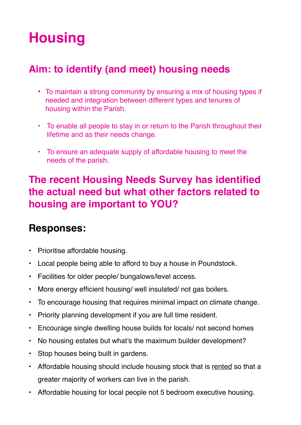# **Housing**

## **Aim: to identify (and meet) housing needs**

- To maintain a strong community by ensuring a mix of housing types if needed and integration between different types and tenures of housing within the Parish.
- To enable all people to stay in or return to the Parish throughout their lifetime and as their needs change.
- To ensure an adequate supply of affordable housing to meet the needs of the parish.

#### **The recent Housing Needs Survey has identified the actual need but what other factors related to housing are important to YOU?**

- Prioritise affordable housing.
- Local people being able to afford to buy a house in Poundstock.
- Facilities for older people/ bungalows/level access.
- More energy efficient housing/ well insulated/ not gas boilers.
- To encourage housing that requires minimal impact on climate change.
- Priority planning development if you are full time resident.
- Encourage single dwelling house builds for locals/ not second homes
- No housing estates but what's the maximum builder development?
- Stop houses being built in gardens.
- Affordable housing should include housing stock that is rented so that a greater majority of workers can live in the parish.
- Affordable housing for local people not 5 bedroom executive housing.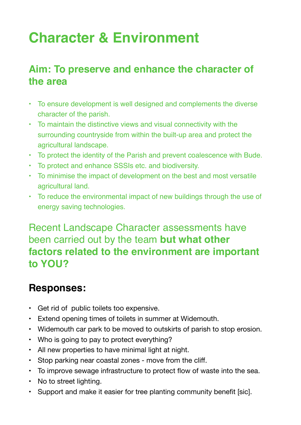# **Character & Environment**

## **Aim: To preserve and enhance the character of the area**

- To ensure development is well designed and complements the diverse character of the parish.
- To maintain the distinctive views and visual connectivity with the surrounding countryside from within the built-up area and protect the agricultural landscape.
- To protect the identity of the Parish and prevent coalescence with Bude.
- To protect and enhance SSSIs etc. and biodiversity.
- To minimise the impact of development on the best and most versatile agricultural land.
- To reduce the environmental impact of new buildings through the use of energy saving technologies.

### Recent Landscape Character assessments have been carried out by the team **but what other factors related to the environment are important to YOU?**

- Get rid of public toilets too expensive.
- Extend opening times of toilets in summer at Widemouth.
- Widemouth car park to be moved to outskirts of parish to stop erosion.
- Who is going to pay to protect everything?
- All new properties to have minimal light at night.
- Stop parking near coastal zones move from the cliff.
- To improve sewage infrastructure to protect flow of waste into the sea.
- No to street lighting.
- Support and make it easier for tree planting community benefit [sic].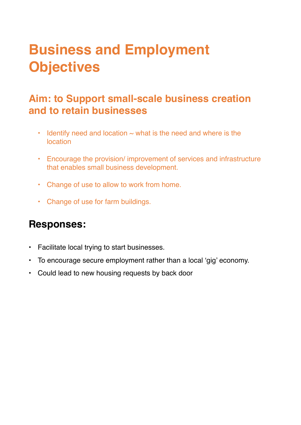## **Business and Employment Objectives**

## **Aim: to Support small-scale business creation and to retain businesses**

- $\cdot$  Identify need and location  $\sim$  what is the need and where is the location
- Encourage the provision/ improvement of services and infrastructure that enables small business development.
- Change of use to allow to work from home.
- Change of use for farm buildings.

- **•** Facilitate local trying to start businesses.
- **•** To encourage secure employment rather than a local 'gig' economy.
- **•** Could lead to new housing requests by back door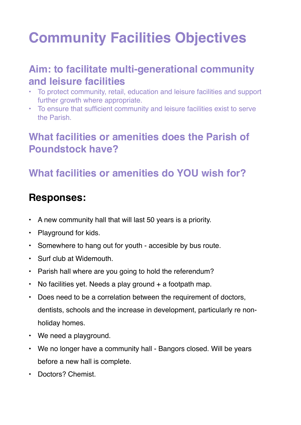# **Community Facilities Objectives**

### **Aim: to facilitate multi-generational community and leisure facilities**

- To protect community, retail, education and leisure facilities and support further growth where appropriate.
- To ensure that sufficient community and leisure facilities exist to serve the Parish.

## **What facilities or amenities does the Parish of Poundstock have?**

## **What facilities or amenities do YOU wish for?**

- A new community hall that will last 50 years is a priority.
- Playground for kids.
- Somewhere to hang out for youth accesible by bus route.
- Surf club at Widemouth.
- Parish hall where are you going to hold the referendum?
- No facilities yet. Needs a play ground + a footpath map.
- Does need to be a correlation between the requirement of doctors, dentists, schools and the increase in development, particularly re nonholiday homes.
- We need a playground.
- We no longer have a community hall Bangors closed. Will be years before a new hall is complete.
- Doctors? Chemist.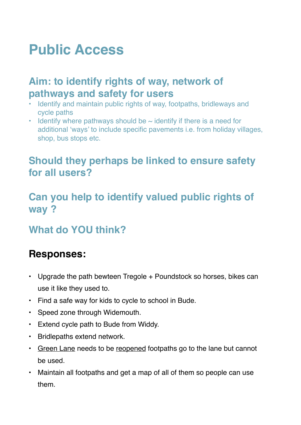## **Public Access**

### **Aim: to identify rights of way, network of pathways and safety for users**

- Identify and maintain public rights of way, footpaths, bridleways and cycle paths
- Identify where pathways should be  $\sim$  identify if there is a need for additional 'ways' to include specific pavements i.e. from holiday villages, shop, bus stops etc.

### **Should they perhaps be linked to ensure safety for all users?**

## **Can you help to identify valued public rights of way ?**

## **What do YOU think?**

- Upgrade the path bewteen Tregole + Poundstock so horses, bikes can use it like they used to.
- Find a safe way for kids to cycle to school in Bude.
- Speed zone through Widemouth.
- Extend cycle path to Bude from Widdy.
- Bridlepaths extend network.
- Green Lane needs to be reopened footpaths go to the lane but cannot be used.
- Maintain all footpaths and get a map of all of them so people can use them.